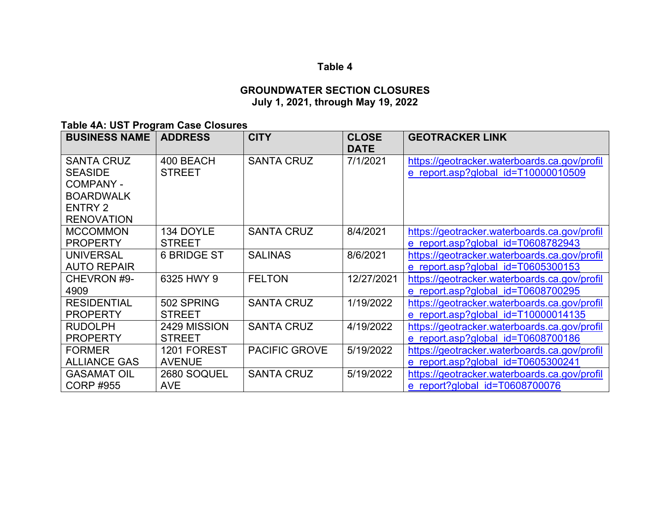# **Table 4**

### **GROUNDWATER SECTION CLOSURES July 1, 2021, through May 19, 2022**

**Table 4A: UST Program Case Closures**

| <b>BUSINESS NAME</b>                                                                                               | <b>ADDRESS</b>                | <b>CITY</b>          | <b>CLOSE</b><br><b>DATE</b> | <b>GEOTRACKER LINK</b>                                                              |
|--------------------------------------------------------------------------------------------------------------------|-------------------------------|----------------------|-----------------------------|-------------------------------------------------------------------------------------|
| <b>SANTA CRUZ</b><br><b>SEASIDE</b><br><b>COMPANY -</b><br><b>BOARDWALK</b><br><b>ENTRY 2</b><br><b>RENOVATION</b> | 400 BEACH<br><b>STREET</b>    | <b>SANTA CRUZ</b>    | 7/1/2021                    | https://geotracker.waterboards.ca.gov/profil<br>e report.asp?global id=T10000010509 |
| <b>MCCOMMON</b><br><b>PROPERTY</b>                                                                                 | 134 DOYLE<br><b>STREET</b>    | <b>SANTA CRUZ</b>    | 8/4/2021                    | https://geotracker.waterboards.ca.gov/profil<br>e report.asp?global id=T0608782943  |
| <b>UNIVERSAL</b><br><b>AUTO REPAIR</b>                                                                             | <b>6 BRIDGE ST</b>            | <b>SALINAS</b>       | 8/6/2021                    | https://geotracker.waterboards.ca.gov/profil<br>e report.asp?global id=T0605300153  |
| CHEVRON #9-<br>4909                                                                                                | 6325 HWY 9                    | <b>FELTON</b>        | 12/27/2021                  | https://geotracker.waterboards.ca.gov/profil<br>e report.asp?global id=T0608700295  |
| <b>RESIDENTIAL</b><br><b>PROPERTY</b>                                                                              | 502 SPRING<br><b>STREET</b>   | <b>SANTA CRUZ</b>    | 1/19/2022                   | https://geotracker.waterboards.ca.gov/profil<br>e report.asp?global id=T10000014135 |
| <b>RUDOLPH</b><br><b>PROPERTY</b>                                                                                  | 2429 MISSION<br><b>STREET</b> | <b>SANTA CRUZ</b>    | 4/19/2022                   | https://geotracker.waterboards.ca.gov/profil<br>e report.asp?global id=T0608700186  |
| <b>FORMER</b><br><b>ALLIANCE GAS</b>                                                                               | 1201 FOREST<br><b>AVENUE</b>  | <b>PACIFIC GROVE</b> | 5/19/2022                   | https://geotracker.waterboards.ca.gov/profil<br>e report.asp?global id=T0605300241  |
| <b>GASAMAT OIL</b><br><b>CORP #955</b>                                                                             | 2680 SOQUEL<br><b>AVE</b>     | <b>SANTA CRUZ</b>    | 5/19/2022                   | https://geotracker.waterboards.ca.gov/profil<br>e report?global id=T0608700076      |